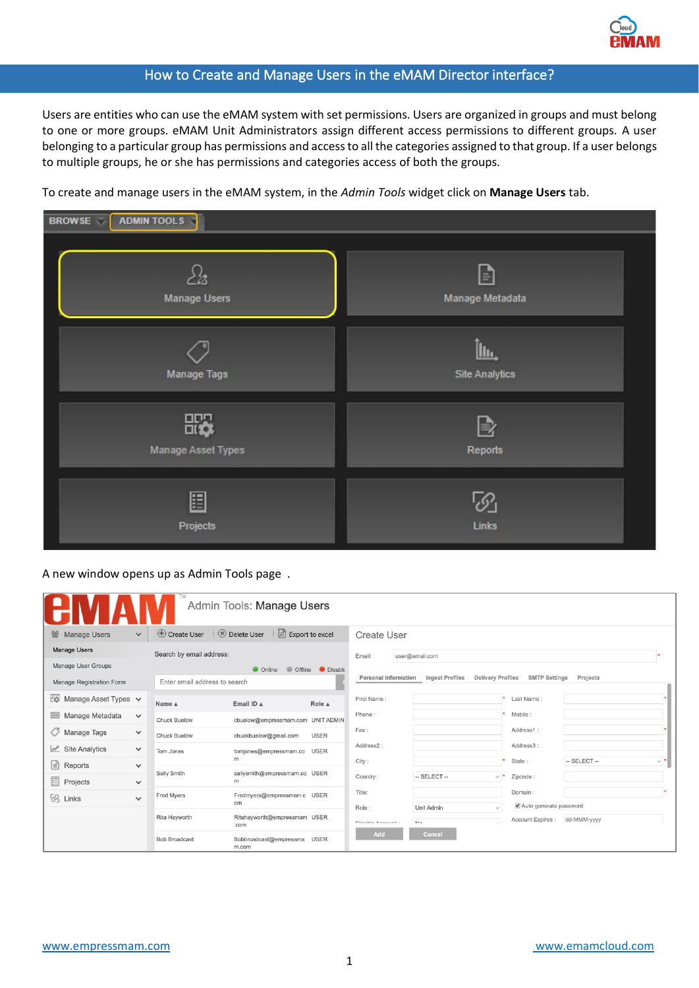

## How to Create and Manage Users in the eMAM Director interface?

Users are entities who can use the eMAM system with set permissions. Users are organized in groups and must belong to one or more groups. eMAM Unit Administrators assign different access permissions to different groups. A user belonging to a particular group has permissions and access to all the categories assigned to that group. If a user belongs to multiple groups, he or she has permissions and categories access of both the groups.

To create and manage users in the eMAM system, in the *Admin Tools* widget click on **Manage Users** tab.

| ADMIN TOOLS<br><b>BROWSE</b> |                               |  |  |  |  |
|------------------------------|-------------------------------|--|--|--|--|
| <b>Manage Users</b>          | E<br>Manage Metadata          |  |  |  |  |
| <b>Manage Tags</b>           | ∐lı.<br><b>Site Analytics</b> |  |  |  |  |
| ₩<br>Manage Asset Types      | B<br>Reports                  |  |  |  |  |
| 圕<br>Projects                | Links                         |  |  |  |  |

A new window opens up as Admin Tools page .

|                                               | Admin Tools: Manage Users |                               |                                                                       |                 |                           |                                                 |                                             |                            |
|-----------------------------------------------|---------------------------|-------------------------------|-----------------------------------------------------------------------|-----------------|---------------------------|-------------------------------------------------|---------------------------------------------|----------------------------|
| <b>Manage Users</b><br>全.<br>$\checkmark$     |                           | $\bigoplus$ Create User       | $\otimes$ Delete User<br>$\left[\frac{D}{x_1}\right]$ Export to excel |                 | <b>Create User</b>        |                                                 |                                             |                            |
| <b>Manage Users</b>                           |                           | Search by email address:      |                                                                       |                 | user@email.com<br>Email:  |                                                 |                                             |                            |
| <b>Manage User Groups</b>                     |                           |                               | • Online                                                              | Offline Disable |                           |                                                 |                                             |                            |
| Manage Registration Form                      |                           | Enter email address to search |                                                                       |                 | Personal Information      | Ingest Profiles<br><b>Delivery Profiles</b>     | <b>SMTP Settings</b>                        | Projects                   |
| $E_{\text{max}}$ Manage Asset Types $\vee$    |                           | Name A                        | Email ID A                                                            | Role A          | First Name:               |                                                 | Last Name:                                  |                            |
| 靊<br>Manage Metadata<br>$\checkmark$          |                           | <b>Chuck Buelow</b>           | cbuelow@empressmam.com UNIT ADMIN                                     |                 | Phone:                    |                                                 | Mobile:                                     |                            |
| O<br>Manage Tags<br>$\checkmark$              |                           | <b>Chuck Buelow</b>           | chuckbuelow@gmail.com                                                 | <b>USER</b>     | Fax:                      |                                                 | Address1:                                   |                            |
| $\mathbb{R}^n$ Site Analytics<br>$\checkmark$ |                           | Tom Jones                     | tomjones@empressmam.co USER                                           |                 | Address2:                 |                                                 | Address3:                                   |                            |
| 目<br>Reports<br>$\checkmark$                  |                           |                               | m                                                                     |                 | City:                     |                                                 | State:                                      | $-$ SELECT $-$<br>$\vee$ * |
| 目<br>Projects<br>$\checkmark$                 |                           | Sally Smith                   | sallysmith@empressmam.co USER<br>m                                    |                 | Country:                  | $-$ SELECT $-$                                  | v *<br>Zipcode:                             |                            |
| - 61<br>Links<br>$\checkmark$                 |                           | Fred Myers                    | Fredmyers@empressmam.c USER<br>om                                     |                 | Title:                    |                                                 | Domain:                                     |                            |
|                                               |                           | Rita Hayworth                 | Ritahayworth@empressmam USER<br>.com                                  |                 | Role:<br>Diashle Assaunt: | Unit Admin<br>$\mathbf{t}_{\mathbf{u}}$<br>h In | Auto generate password<br>Account Expires : | dd-MMM-yyyy                |
|                                               |                           | <b>Bob Broadcast</b>          | Bobbroadcast@empressma USER<br>m.com                                  |                 | Add                       | Cancel                                          |                                             |                            |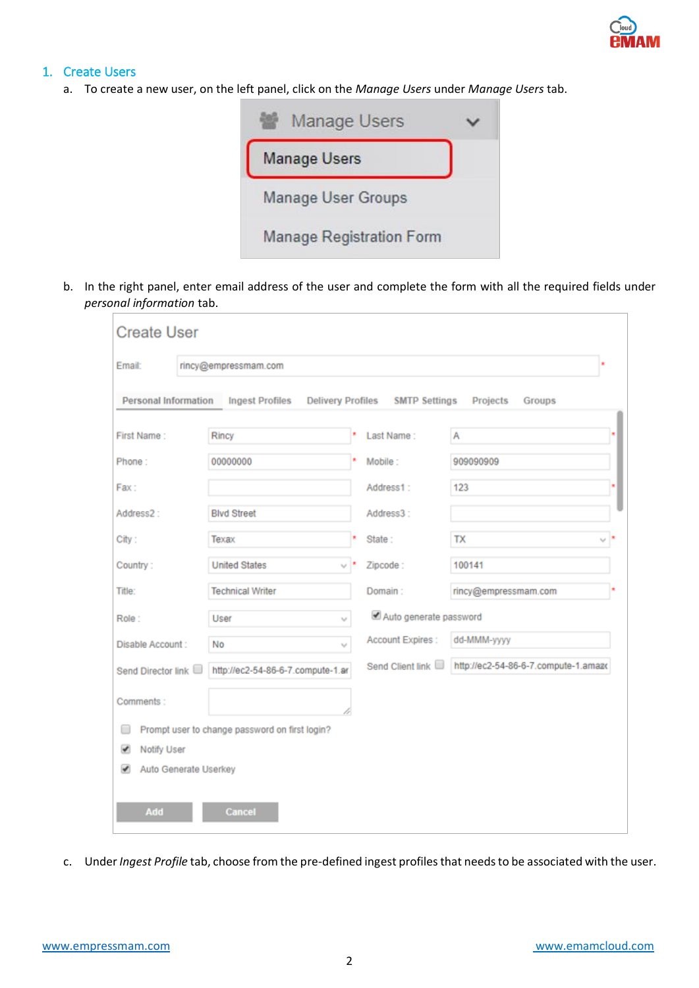

# 1. Create Users

a. To create a new user, on the left panel, click on the *Manage Users* under *Manage Users* tab.



b. In the right panel, enter email address of the user and complete the form with all the required fields under *personal information* tab.

| <b>Create User</b>          |                                                |  |                                 |                                      |  |  |  |  |
|-----------------------------|------------------------------------------------|--|---------------------------------|--------------------------------------|--|--|--|--|
| Email:                      | rincy@empressmam.com                           |  |                                 |                                      |  |  |  |  |
| <b>Personal Information</b> | <b>Ingest Profiles</b>                         |  | Delivery Profiles SMTP Settings | Projects<br>Groups                   |  |  |  |  |
| First Name:                 | Rincy                                          |  | Last Name:                      | Α                                    |  |  |  |  |
| Phone:                      | 00000000                                       |  | Mobile:                         | 909090909                            |  |  |  |  |
| Fax:                        |                                                |  | Address1:                       | 123<br>×                             |  |  |  |  |
| Address2:                   | <b>Blvd Street</b>                             |  | Address3:                       |                                      |  |  |  |  |
| City:                       | Texax                                          |  | State:                          | <b>TX</b>                            |  |  |  |  |
| Country:                    | <b>United States</b>                           |  | Zipcode:                        | 100141                               |  |  |  |  |
| Title:                      | <b>Technical Writer</b>                        |  | Domain:                         | rincy@empressmam.com                 |  |  |  |  |
| Role:                       | User<br>v                                      |  | Auto generate password          |                                      |  |  |  |  |
| Disable Account:            | No<br>v                                        |  | Account Expires :               | dd-MMM-yyyy                          |  |  |  |  |
| Send Director link          | http://ec2-54-86-6-7.compute-1.ar              |  | Send Client link                | http://ec2-54-86-6-7.compute-1.amazo |  |  |  |  |
| Comments:                   |                                                |  |                                 |                                      |  |  |  |  |
|                             | Prompt user to change password on first login? |  |                                 |                                      |  |  |  |  |
| Notify User<br>✔            |                                                |  |                                 |                                      |  |  |  |  |
| ✔                           | Auto Generate Userkey                          |  |                                 |                                      |  |  |  |  |
| Add                         | <b>Cancel</b>                                  |  |                                 |                                      |  |  |  |  |

c. Under *Ingest Profile* tab, choose from the pre-defined ingest profiles that needs to be associated with the user.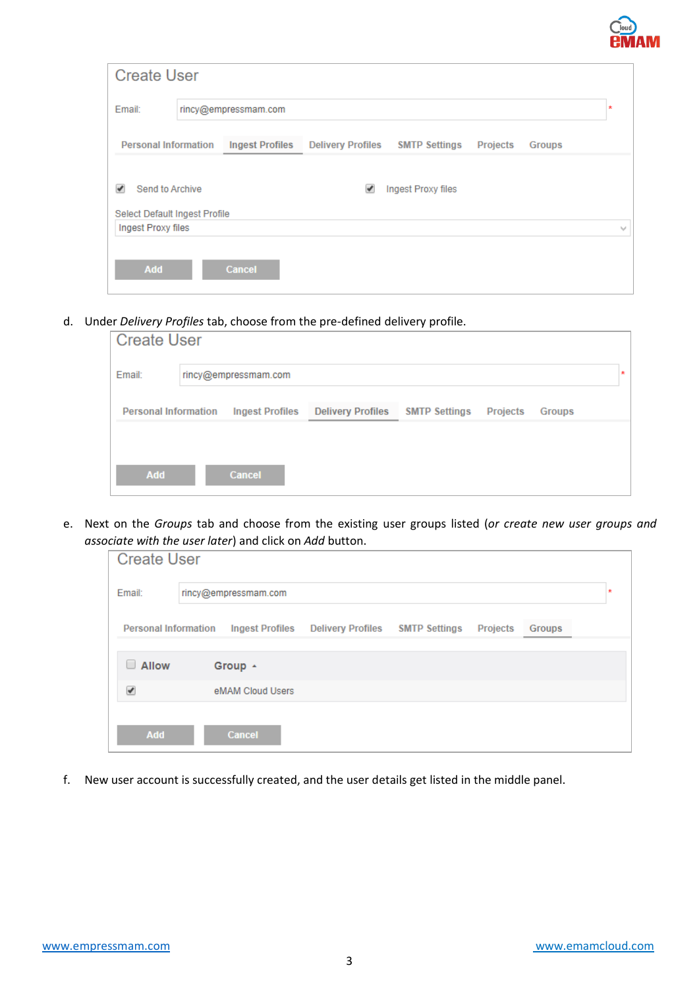

| <b>Create User</b>            |                        |                          |                      |                 |               |         |
|-------------------------------|------------------------|--------------------------|----------------------|-----------------|---------------|---------|
| Email:                        | rincy@empressmam.com   |                          |                      |                 |               | $\star$ |
| <b>Personal Information</b>   | <b>Ingest Profiles</b> | <b>Delivery Profiles</b> | <b>SMTP Settings</b> | <b>Projects</b> | <b>Groups</b> |         |
| Send to Archive<br>v          |                        | ✔                        | Ingest Proxy files   |                 |               |         |
| Select Default Ingest Profile |                        |                          |                      |                 |               |         |
| Ingest Proxy files            |                        |                          |                      |                 |               | w       |
| Add                           | Cancel                 |                          |                      |                 |               |         |

d. Under *Delivery Profiles* tab, choose from the pre-defined delivery profile.

| <b>Create User</b>             |  |                        |                          |                      |                 |        |    |
|--------------------------------|--|------------------------|--------------------------|----------------------|-----------------|--------|----|
| Email:<br>rincy@empressmam.com |  |                        |                          |                      |                 |        | ×. |
| <b>Personal Information</b>    |  | <b>Ingest Profiles</b> | <b>Delivery Profiles</b> | <b>SMTP Settings</b> | <b>Projects</b> | Groups |    |
| <b>Add</b>                     |  | <b>Cancel</b>          |                          |                      |                 |        |    |

e. Next on the *Groups* tab and choose from the existing user groups listed (*or create new user groups and associate with the user later*) and click on *Add* button.

| <b>Create User</b>          |                           |                                                 |  |                 |        |  |  |
|-----------------------------|---------------------------|-------------------------------------------------|--|-----------------|--------|--|--|
| Email:                      | rincy@empressmam.com<br>× |                                                 |  |                 |        |  |  |
| <b>Personal Information</b> |                           | Ingest Profiles Delivery Profiles SMTP Settings |  | <b>Projects</b> | Groups |  |  |
| $\Box$ Allow                | Group +                   |                                                 |  |                 |        |  |  |
| ᢦ                           | eMAM Cloud Users          |                                                 |  |                 |        |  |  |
| Add                         | Cancel                    |                                                 |  |                 |        |  |  |

f. New user account is successfully created, and the user details get listed in the middle panel.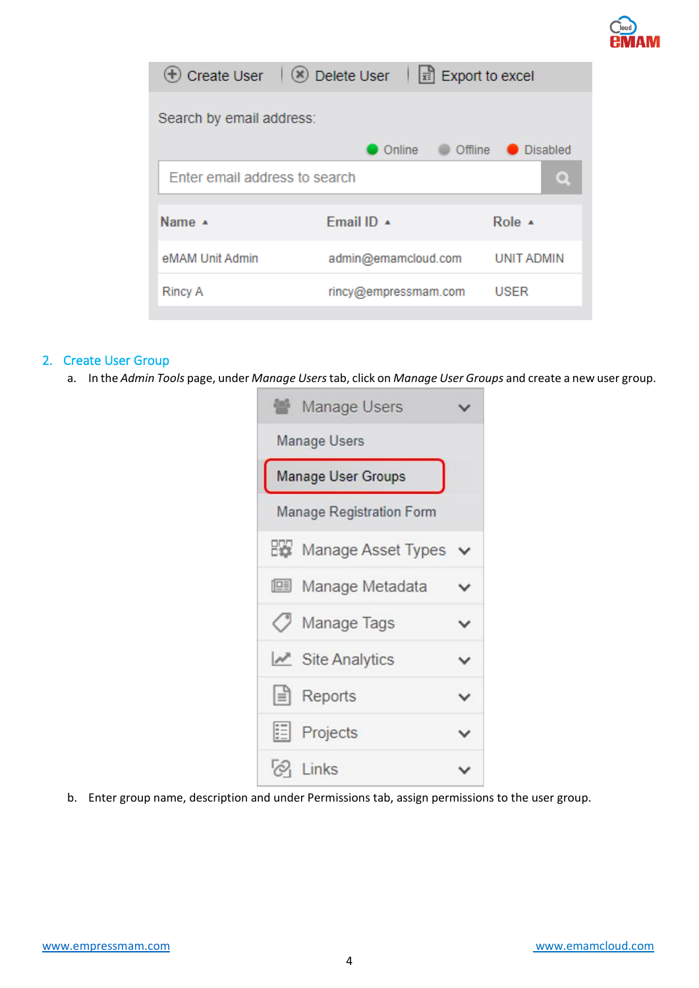

| <b>(+)</b> Create User        | $\boxed{\mathbf{x}}$ Export to excel<br>(*) Delete User |                   |  |  |  |  |
|-------------------------------|---------------------------------------------------------|-------------------|--|--|--|--|
| Search by email address:      |                                                         |                   |  |  |  |  |
|                               | Online<br>Offline                                       | <b>Disabled</b>   |  |  |  |  |
| Enter email address to search |                                                         |                   |  |  |  |  |
| Name A                        | Email ID +                                              | Role $\triangle$  |  |  |  |  |
| eMAM Unit Admin               | admin@emamcloud.com                                     | <b>UNIT ADMIN</b> |  |  |  |  |
| <b>Rincy A</b>                | rincy@empressmam.com                                    | <b>USER</b>       |  |  |  |  |

### 2. Create User Group

a. In the *Admin Tools* page, under *Manage Users*tab, click on *Manage User Groups* and create a new user group.

| Manage Users                    |   |  |  |  |  |  |
|---------------------------------|---|--|--|--|--|--|
| Manage Users                    |   |  |  |  |  |  |
| Manage User Groups              |   |  |  |  |  |  |
| <b>Manage Registration Form</b> |   |  |  |  |  |  |
| Manage Asset Types              |   |  |  |  |  |  |
| Manage Metadata                 |   |  |  |  |  |  |
| / Manage Tags                   | ✓ |  |  |  |  |  |
| $\mathbb{Z}$ Site Analytics     | v |  |  |  |  |  |
| $\equiv$ Reports                |   |  |  |  |  |  |
| <b>E</b> Projects               | v |  |  |  |  |  |
| $\oslash$ Links                 |   |  |  |  |  |  |

b. Enter group name, description and under Permissions tab, assign permissions to the user group.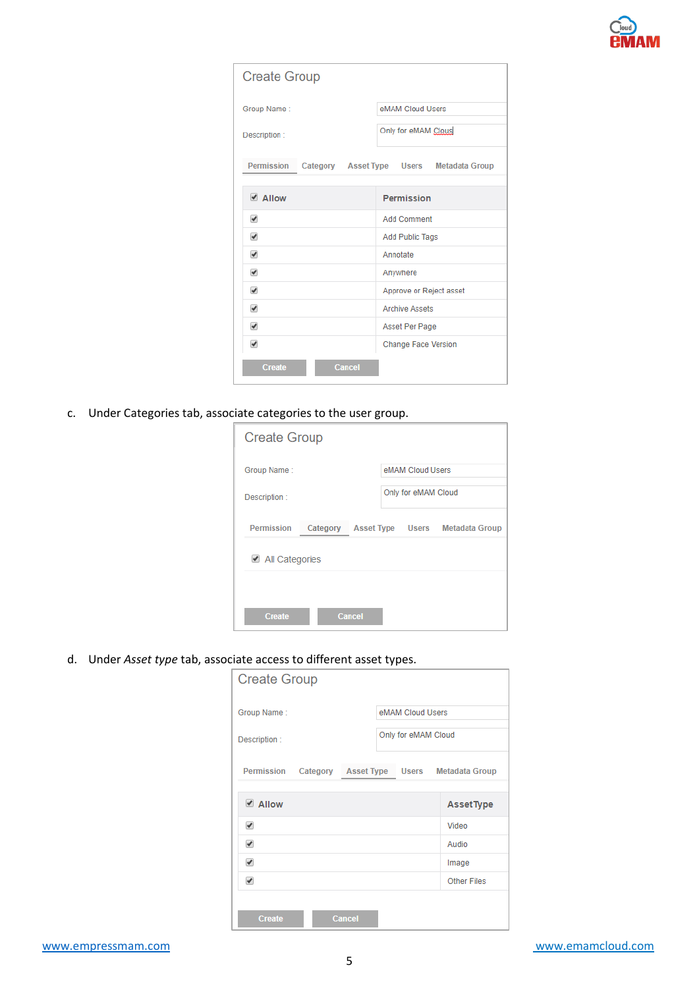

| <b>Create Group</b>            |                                          |
|--------------------------------|------------------------------------------|
| Group Name:                    | eMAM Cloud Users                         |
| Description:                   | Only for eMAM Clous                      |
| <b>Permission</b>              | Category Asset Type Users Metadata Group |
| ✔ Allow                        | <b>Permission</b>                        |
| $\overline{\mathscr{I}}$       | <b>Add Comment</b>                       |
| $\overline{\mathscr{L}}$       | <b>Add Public Tags</b>                   |
| $\overline{\mathscr{I}}$       | Annotate                                 |
| ✔                              | Anywhere                                 |
| ✔                              | Approve or Reject asset                  |
| $\overline{\mathcal{L}}$       | <b>Archive Assets</b>                    |
| ✔                              | Asset Per Page                           |
| $\overline{\mathcal{L}}$       | <b>Change Face Version</b>               |
| <b>Cancel</b><br><b>Create</b> |                                          |

c. Under Categories tab, associate categories to the user group.

| <b>Create Group</b> |          |                  |                     |                       |
|---------------------|----------|------------------|---------------------|-----------------------|
| Group Name:         |          |                  | eMAM Cloud Users    |                       |
| Description:        |          |                  | Only for eMAM Cloud |                       |
| <b>Permission</b>   | Category | Asset Type Users |                     | <b>Metadata Group</b> |
| └ All Categories    |          |                  |                     |                       |
|                     |          |                  |                     |                       |
| <b>Create</b>       |          | <b>Cancel</b>    |                     |                       |

d. Under *Asset type* tab, associate access to different asset types.

| <b>Create Group</b> |          |                   |                     |                       |
|---------------------|----------|-------------------|---------------------|-----------------------|
| Group Name:         |          |                   | eMAM Cloud Users    |                       |
| Description:        |          |                   | Only for eMAM Cloud |                       |
| Permission          | Category | <b>Asset Type</b> | <b>Users</b>        | <b>Metadata Group</b> |
| LAIlow              |          |                   |                     | <b>AssetType</b>      |
| ✔                   |          |                   |                     | Video                 |
| ✔                   |          |                   |                     | Audio                 |
| ✔                   |          |                   |                     | Image                 |
| ✔                   |          |                   |                     | <b>Other Files</b>    |
| <b>Create</b>       |          | <b>Cancel</b>     |                     |                       |